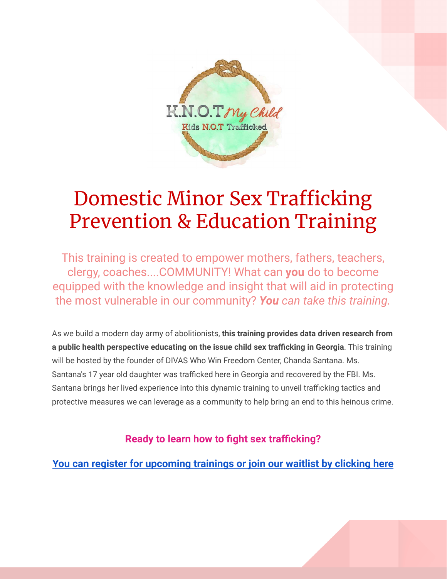

## Domestic Minor Sex Trafficking Prevention & Education Training

This training is created to empower mothers, fathers, teachers, clergy, coaches....COMMUNITY! What can **you** do to become equipped with the knowledge and insight that will aid in protecting the most vulnerable in our community? *You can take this training.*

As we build a modern day army of abolitionists, **this training provides data driven research from a public health perspective educating on the issue child sex trafficking in Georgia**. This training will be hosted by the founder of DIVAS Who Win Freedom Center, Chanda Santana. Ms. Santana's 17 year old daughter was trafficked here in Georgia and recovered by the FBI. Ms. Santana brings her lived experience into this dynamic training to unveil trafficking tactics and protective measures we can leverage as a community to help bring an end to this heinous crime.

**Ready to learn how to fight sex trafficking?**

**[You can register for upcoming trainings or join our waitlist by clicking here](https://divaswhowin.dm.networkforgood.com/forms/dmst-virtual-trainings-registration)**